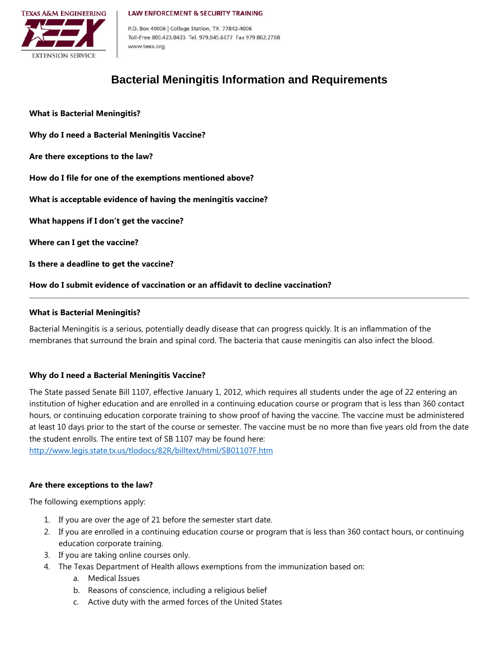#### **LAW ENFORCEMENT & SECURITY TRAINING**



P.O. Box 40006 | College Station, TX 77842-4006 Toll-Free 800.423.8433 Tel. 979.845.6677 Fax 979.862.2788 www.teex.org

# **Bacterial Meningitis Information and Requirements**

**[What is Bacterial Meningitis?](#page-0-0) [Why do I need a Bacterial Meningitis Vaccine?](#page-0-1) [Are there exceptions to the law?](#page-0-2) [How do I file for one of the exemptions mentioned above?](#page-1-0) [What is acceptable evidence of](#page-1-1) having the meningitis vaccine? [What happens if I don't get the vaccine?](#page-1-2) [Where can I get the vaccine?](#page-1-3) [Is there a deadline to get the vaccine?](#page-1-4) [How do I submit evidence of vaccination or an affidavit to decline vaccination?](#page-1-5)**

# <span id="page-0-0"></span>**What is Bacterial Meningitis?**

Bacterial Meningitis is a serious, potentially deadly disease that can progress quickly. It is an inflammation of the membranes that surround the brain and spinal cord. The bacteria that cause meningitis can also infect the blood.

# <span id="page-0-1"></span>**Why do I need a Bacterial Meningitis Vaccine?**

The State passed Senate Bill 1107, effective January 1, 2012, which requires all students under the age of 22 entering an institution of higher education and are enrolled in a continuing education course or program that is less than 360 contact hours, or continuing education corporate training to show proof of having the vaccine. The vaccine must be administered at least 10 days prior to the start of the course or semester. The vaccine must be no more than five years old from the date the student enrolls. The entire text of SB 1107 may be found here:

<span id="page-0-2"></span><http://www.legis.state.tx.us/tlodocs/82R/billtext/html/SB01107F.htm>

# **Are there exceptions to the law?**

The following exemptions apply:

- 1. If you are over the age of 21 before the semester start date.
- 2. If you are enrolled in a continuing education course or program that is less than 360 contact hours, or continuing education corporate training.
- 3. If you are taking online courses only.
- 4. The Texas Department of Health allows exemptions from the immunization based on:
	- a. Medical Issues
	- b. Reasons of conscience, including a religious belief
	- c. Active duty with the armed forces of the United States